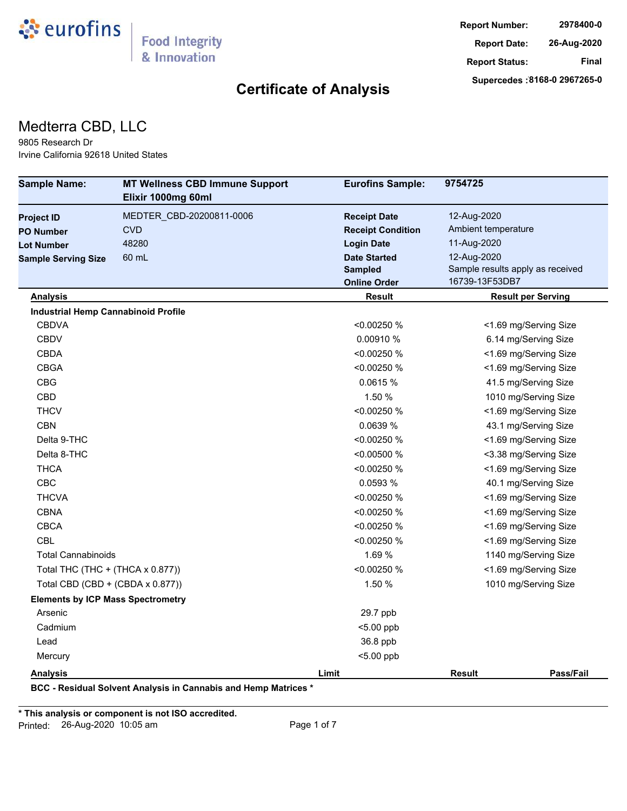

#### Medterra CBD, LLC

9805 Research Dr Irvine California 92618 United States

| <b>Sample Name:</b>                        | <b>MT Wellness CBD Immune Support</b><br>Elixir 1000mg 60ml | <b>Eurofins Sample:</b>  | 9754725                          |
|--------------------------------------------|-------------------------------------------------------------|--------------------------|----------------------------------|
| <b>Project ID</b>                          | MEDTER CBD-20200811-0006                                    | <b>Receipt Date</b>      | 12-Aug-2020                      |
| <b>PO Number</b>                           | <b>CVD</b>                                                  | <b>Receipt Condition</b> | Ambient temperature              |
| <b>Lot Number</b>                          | 48280                                                       | <b>Login Date</b>        | 11-Aug-2020                      |
| <b>Sample Serving Size</b>                 | 60 mL                                                       | <b>Date Started</b>      | 12-Aug-2020                      |
|                                            |                                                             | <b>Sampled</b>           | Sample results apply as received |
|                                            |                                                             | <b>Online Order</b>      | 16739-13F53DB7                   |
| <b>Analysis</b>                            |                                                             | Result                   | <b>Result per Serving</b>        |
| <b>Industrial Hemp Cannabinoid Profile</b> |                                                             |                          |                                  |
| <b>CBDVA</b>                               |                                                             | < 0.00250 %              | <1.69 mg/Serving Size            |
| <b>CBDV</b>                                |                                                             | 0.00910 %                | 6.14 mg/Serving Size             |
| <b>CBDA</b>                                |                                                             | < 0.00250 %              | <1.69 mg/Serving Size            |
| <b>CBGA</b>                                |                                                             | <0.00250 %               | <1.69 mg/Serving Size            |
| <b>CBG</b>                                 |                                                             | 0.0615 %                 | 41.5 mg/Serving Size             |
| <b>CBD</b>                                 |                                                             | 1.50 %                   | 1010 mg/Serving Size             |
| <b>THCV</b>                                |                                                             | < 0.00250 %              | <1.69 mg/Serving Size            |
| <b>CBN</b>                                 |                                                             | 0.0639 %                 | 43.1 mg/Serving Size             |
| Delta 9-THC                                |                                                             | <0.00250 %               | <1.69 mg/Serving Size            |
| Delta 8-THC                                |                                                             | < 0.00500 %              | <3.38 mg/Serving Size            |
| <b>THCA</b>                                |                                                             | < 0.00250 %              | <1.69 mg/Serving Size            |
| <b>CBC</b>                                 |                                                             | 0.0593 %                 | 40.1 mg/Serving Size             |
| <b>THCVA</b>                               |                                                             | < 0.00250 %              | <1.69 mg/Serving Size            |
| <b>CBNA</b>                                |                                                             | < 0.00250 %              | <1.69 mg/Serving Size            |
| <b>CBCA</b>                                |                                                             | < 0.00250 %              | <1.69 mg/Serving Size            |
| <b>CBL</b>                                 |                                                             | <0.00250 %               | <1.69 mg/Serving Size            |
| <b>Total Cannabinoids</b>                  |                                                             | 1.69 %                   | 1140 mg/Serving Size             |
| Total THC (THC + (THCA x 0.877))           |                                                             | <0.00250 %               | <1.69 mg/Serving Size            |
| Total CBD (CBD + (CBDA x 0.877))           |                                                             | 1.50 %                   | 1010 mg/Serving Size             |
| <b>Elements by ICP Mass Spectrometry</b>   |                                                             |                          |                                  |
| Arsenic                                    |                                                             | 29.7 ppb                 |                                  |
| Cadmium                                    |                                                             | <5.00 ppb                |                                  |
| Lead                                       |                                                             | 36.8 ppb                 |                                  |
| Mercury                                    |                                                             | $< 5.00$ ppb             |                                  |
| <b>Analysis</b>                            |                                                             | Limit                    | Pass/Fail<br>Result              |

**\* This analysis or component is not ISO accredited.** Printed: 26-Aug-2020 10:05 am Page 1 of 7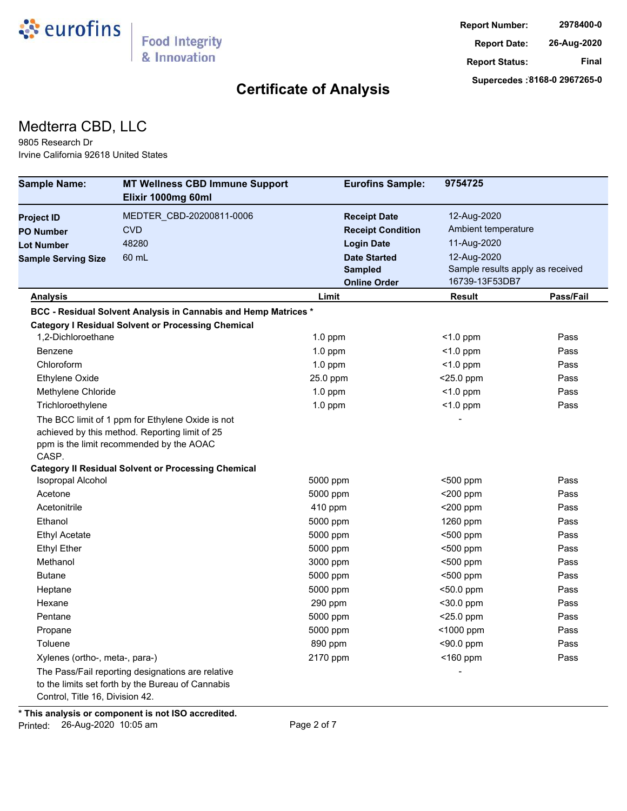

#### Medterra CBD, LLC

9805 Research Dr Irvine California 92618 United States

| <b>Sample Name:</b>             | <b>MT Wellness CBD Immune Support</b><br>Elixir 1000mg 60ml                                                                                    | <b>Eurofins Sample:</b>  | 9754725                          |           |
|---------------------------------|------------------------------------------------------------------------------------------------------------------------------------------------|--------------------------|----------------------------------|-----------|
| <b>Project ID</b>               | MEDTER CBD-20200811-0006                                                                                                                       | <b>Receipt Date</b>      | 12-Aug-2020                      |           |
| <b>PO Number</b>                | <b>CVD</b>                                                                                                                                     | <b>Receipt Condition</b> | Ambient temperature              |           |
| <b>Lot Number</b>               | 48280                                                                                                                                          | <b>Login Date</b>        | 11-Aug-2020                      |           |
| <b>Sample Serving Size</b>      | 60 mL                                                                                                                                          | <b>Date Started</b>      | 12-Aug-2020                      |           |
|                                 |                                                                                                                                                | <b>Sampled</b>           | Sample results apply as received |           |
|                                 |                                                                                                                                                | <b>Online Order</b>      | 16739-13F53DB7                   |           |
| <b>Analysis</b>                 |                                                                                                                                                | Limit                    | Result                           | Pass/Fail |
|                                 | BCC - Residual Solvent Analysis in Cannabis and Hemp Matrices *                                                                                |                          |                                  |           |
|                                 | <b>Category I Residual Solvent or Processing Chemical</b>                                                                                      |                          |                                  |           |
| 1.2-Dichloroethane              |                                                                                                                                                | $1.0$ ppm                | $<$ 1.0 ppm                      | Pass      |
| Benzene                         |                                                                                                                                                | $1.0$ ppm                | $<$ 1.0 ppm                      | Pass      |
| Chloroform                      |                                                                                                                                                | $1.0$ ppm                | $<$ 1.0 ppm                      | Pass      |
| Ethylene Oxide                  |                                                                                                                                                | 25.0 ppm                 | <25.0 ppm                        | Pass      |
| Methylene Chloride              |                                                                                                                                                | $1.0$ ppm                | $<$ 1.0 ppm                      | Pass      |
| Trichloroethylene               |                                                                                                                                                | $1.0$ ppm                | $<$ 1.0 ppm                      | Pass      |
| CASP.                           | The BCC limit of 1 ppm for Ethylene Oxide is not<br>achieved by this method. Reporting limit of 25<br>ppm is the limit recommended by the AOAC |                          |                                  |           |
|                                 | <b>Category II Residual Solvent or Processing Chemical</b>                                                                                     |                          |                                  |           |
| Isopropal Alcohol               |                                                                                                                                                | 5000 ppm                 | <500 ppm                         | Pass      |
| Acetone                         |                                                                                                                                                | 5000 ppm                 | $<$ 200 ppm                      | Pass      |
| Acetonitrile                    |                                                                                                                                                | 410 ppm                  | $<$ 200 ppm                      | Pass      |
| Ethanol                         |                                                                                                                                                | 5000 ppm                 | 1260 ppm                         | Pass      |
| <b>Ethyl Acetate</b>            |                                                                                                                                                | 5000 ppm                 | $500$ ppm                        | Pass      |
| <b>Ethyl Ether</b>              |                                                                                                                                                | 5000 ppm                 | <500 ppm                         | Pass      |
| Methanol                        |                                                                                                                                                | 3000 ppm                 | <500 ppm                         | Pass      |
| <b>Butane</b>                   |                                                                                                                                                | 5000 ppm                 | $500$ ppm                        | Pass      |
| Heptane                         |                                                                                                                                                | 5000 ppm                 | <50.0 ppm                        | Pass      |
| Hexane                          |                                                                                                                                                | 290 ppm                  | <30.0 ppm                        | Pass      |
| Pentane                         |                                                                                                                                                | 5000 ppm                 | <25.0 ppm                        | Pass      |
| Propane                         |                                                                                                                                                | 5000 ppm                 | <1000 ppm                        | Pass      |
| Toluene                         |                                                                                                                                                | 890 ppm                  | <90.0 ppm                        | Pass      |
| Xylenes (ortho-, meta-, para-)  |                                                                                                                                                | 2170 ppm                 | $<$ 160 ppm                      | Pass      |
| Control, Title 16, Division 42. | The Pass/Fail reporting designations are relative<br>to the limits set forth by the Bureau of Cannabis                                         |                          |                                  |           |

**\* This analysis or component is not ISO accredited.**

Printed: 26-Aug-2020 10:05 am Page 2 of 7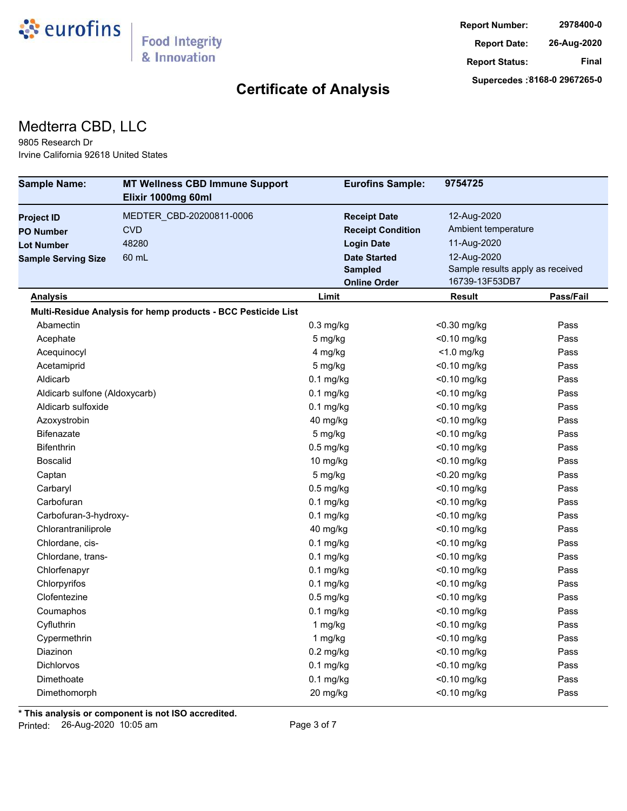

#### Medterra CBD, LLC

9805 Research Dr Irvine California 92618 United States

| <b>Sample Name:</b>           | <b>MT Wellness CBD Immune Support</b>                         | <b>Eurofins Sample:</b>  | 9754725                          |           |
|-------------------------------|---------------------------------------------------------------|--------------------------|----------------------------------|-----------|
|                               | Elixir 1000mg 60ml                                            |                          |                                  |           |
| <b>Project ID</b>             | MEDTER CBD-20200811-0006                                      | <b>Receipt Date</b>      | 12-Aug-2020                      |           |
| <b>PO Number</b>              | <b>CVD</b>                                                    | <b>Receipt Condition</b> | Ambient temperature              |           |
| <b>Lot Number</b>             | 48280                                                         | <b>Login Date</b>        | 11-Aug-2020                      |           |
| <b>Sample Serving Size</b>    | 60 mL                                                         | <b>Date Started</b>      | 12-Aug-2020                      |           |
|                               |                                                               | <b>Sampled</b>           | Sample results apply as received |           |
|                               |                                                               | <b>Online Order</b>      | 16739-13F53DB7                   |           |
| <b>Analysis</b>               |                                                               | Limit                    | Result                           | Pass/Fail |
|                               | Multi-Residue Analysis for hemp products - BCC Pesticide List |                          |                                  |           |
| Abamectin                     |                                                               | $0.3$ mg/kg              | <0.30 mg/kg                      | Pass      |
| Acephate                      |                                                               | 5 mg/kg                  | <0.10 mg/kg                      | Pass      |
| Acequinocyl                   |                                                               | 4 mg/kg                  | $<$ 1.0 mg/kg                    | Pass      |
| Acetamiprid                   |                                                               | 5 mg/kg                  | <0.10 mg/kg                      | Pass      |
| Aldicarb                      |                                                               | $0.1$ mg/kg              | $<$ 0.10 mg/kg                   | Pass      |
| Aldicarb sulfone (Aldoxycarb) |                                                               | $0.1$ mg/kg              | <0.10 mg/kg                      | Pass      |
| Aldicarb sulfoxide            |                                                               | $0.1$ mg/kg              | <0.10 mg/kg                      | Pass      |
| Azoxystrobin                  |                                                               | 40 mg/kg                 | <0.10 mg/kg                      | Pass      |
| <b>Bifenazate</b>             |                                                               | 5 mg/kg                  | <0.10 mg/kg                      | Pass      |
| <b>Bifenthrin</b>             |                                                               | $0.5$ mg/kg              | $<$ 0.10 mg/kg                   | Pass      |
| <b>Boscalid</b>               |                                                               | 10 mg/kg                 | <0.10 mg/kg                      | Pass      |
| Captan                        |                                                               | 5 mg/kg                  | $<$ 0.20 mg/kg                   | Pass      |
| Carbaryl                      |                                                               | $0.5$ mg/kg              | <0.10 mg/kg                      | Pass      |
| Carbofuran                    |                                                               | $0.1$ mg/kg              | $<$ 0.10 mg/kg                   | Pass      |
| Carbofuran-3-hydroxy-         |                                                               | $0.1$ mg/kg              | <0.10 mg/kg                      | Pass      |
| Chlorantraniliprole           |                                                               | 40 mg/kg                 | <0.10 mg/kg                      | Pass      |
| Chlordane, cis-               |                                                               | $0.1$ mg/kg              | <0.10 mg/kg                      | Pass      |
| Chlordane, trans-             |                                                               | $0.1$ mg/kg              | <0.10 mg/kg                      | Pass      |
| Chlorfenapyr                  |                                                               | $0.1$ mg/kg              | <0.10 mg/kg                      | Pass      |
| Chlorpyrifos                  |                                                               | $0.1$ mg/kg              | <0.10 mg/kg                      | Pass      |
| Clofentezine                  |                                                               | $0.5$ mg/kg              | <0.10 mg/kg                      | Pass      |
| Coumaphos                     |                                                               | $0.1$ mg/kg              | <0.10 mg/kg                      | Pass      |
| Cyfluthrin                    |                                                               | 1 mg/kg                  | <0.10 mg/kg                      | Pass      |
| Cypermethrin                  |                                                               | 1 mg/kg                  | $<$ 0.10 mg/kg                   | Pass      |
| Diazinon                      |                                                               | $0.2$ mg/kg              | <0.10 mg/kg                      | Pass      |
| <b>Dichlorvos</b>             |                                                               | $0.1$ mg/kg              | <0.10 mg/kg                      | Pass      |
| Dimethoate                    |                                                               | $0.1$ mg/kg              | <0.10 mg/kg                      | Pass      |
| Dimethomorph                  |                                                               | 20 mg/kg                 | <0.10 mg/kg                      | Pass      |

**\* This analysis or component is not ISO accredited.**

Printed: 26-Aug-2020 10:05 am Page 3 of 7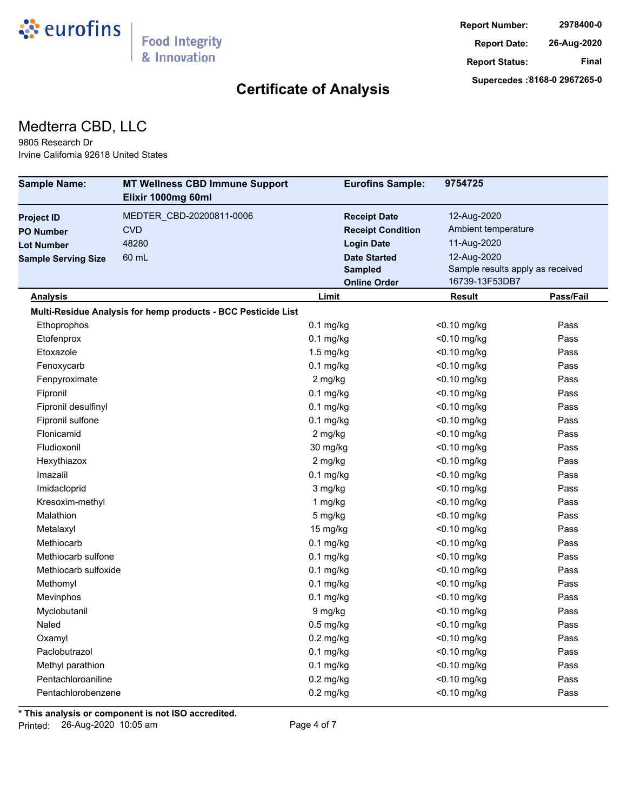

#### Medterra CBD, LLC

9805 Research Dr Irvine California 92618 United States

| <b>Sample Name:</b>        | <b>MT Wellness CBD Immune Support</b>                         | <b>Eurofins Sample:</b>  | 9754725                          |           |
|----------------------------|---------------------------------------------------------------|--------------------------|----------------------------------|-----------|
|                            | Elixir 1000mg 60ml                                            |                          |                                  |           |
| <b>Project ID</b>          | MEDTER_CBD-20200811-0006                                      | <b>Receipt Date</b>      | 12-Aug-2020                      |           |
| <b>PO Number</b>           | <b>CVD</b>                                                    | <b>Receipt Condition</b> | Ambient temperature              |           |
| <b>Lot Number</b>          | 48280                                                         | <b>Login Date</b>        | 11-Aug-2020                      |           |
| <b>Sample Serving Size</b> | 60 mL                                                         | <b>Date Started</b>      | 12-Aug-2020                      |           |
|                            |                                                               | <b>Sampled</b>           | Sample results apply as received |           |
|                            |                                                               | <b>Online Order</b>      | 16739-13F53DB7                   |           |
| <u>Analysis</u>            |                                                               | Limit                    | Result                           | Pass/Fail |
|                            | Multi-Residue Analysis for hemp products - BCC Pesticide List |                          |                                  |           |
| Ethoprophos                |                                                               | $0.1$ mg/kg              | <0.10 mg/kg                      | Pass      |
| Etofenprox                 |                                                               | $0.1$ mg/kg              | <0.10 mg/kg                      | Pass      |
| Etoxazole                  |                                                               | $1.5$ mg/kg              | <0.10 mg/kg                      | Pass      |
| Fenoxycarb                 |                                                               | $0.1$ mg/kg              | <0.10 mg/kg                      | Pass      |
| Fenpyroximate              |                                                               | 2 mg/kg                  | $<$ 0.10 mg/kg                   | Pass      |
| Fipronil                   |                                                               | $0.1$ mg/kg              | <0.10 mg/kg                      | Pass      |
| Fipronil desulfinyl        |                                                               | $0.1$ mg/kg              | <0.10 mg/kg                      | Pass      |
| Fipronil sulfone           |                                                               | $0.1$ mg/kg              | <0.10 mg/kg                      | Pass      |
| Flonicamid                 |                                                               | 2 mg/kg                  | $<$ 0.10 mg/kg                   | Pass      |
| Fludioxonil                |                                                               | 30 mg/kg                 | $<$ 0.10 mg/kg                   | Pass      |
| Hexythiazox                |                                                               | 2 mg/kg                  | <0.10 mg/kg                      | Pass      |
| Imazalil                   |                                                               | $0.1$ mg/kg              | $<$ 0.10 mg/kg                   | Pass      |
| Imidacloprid               |                                                               | 3 mg/kg                  | $<$ 0.10 mg/kg                   | Pass      |
| Kresoxim-methyl            |                                                               | 1 mg/kg                  | $<$ 0.10 mg/kg                   | Pass      |
| Malathion                  |                                                               | 5 mg/kg                  | <0.10 mg/kg                      | Pass      |
| Metalaxyl                  |                                                               | 15 mg/kg                 | <0.10 mg/kg                      | Pass      |
| Methiocarb                 |                                                               | $0.1$ mg/kg              | <0.10 mg/kg                      | Pass      |
| Methiocarb sulfone         |                                                               | $0.1$ mg/kg              | $<$ 0.10 mg/kg                   | Pass      |
| Methiocarb sulfoxide       |                                                               | $0.1$ mg/kg              | <0.10 mg/kg                      | Pass      |
| Methomyl                   |                                                               | $0.1$ mg/kg              | <0.10 mg/kg                      | Pass      |
| Mevinphos                  |                                                               | $0.1$ mg/kg              | $<$ 0.10 mg/kg                   | Pass      |
| Myclobutanil               |                                                               | 9 mg/kg                  | <0.10 mg/kg                      | Pass      |
| Naled                      |                                                               | $0.5$ mg/kg              | <0.10 mg/kg                      | Pass      |
| Oxamyl                     |                                                               | $0.2$ mg/kg              | <0.10 mg/kg                      | Pass      |
| Paclobutrazol              |                                                               | $0.1$ mg/kg              | <0.10 mg/kg                      | Pass      |
| Methyl parathion           |                                                               | $0.1$ mg/kg              | <0.10 mg/kg                      | Pass      |
| Pentachloroaniline         |                                                               | $0.2$ mg/kg              | <0.10 mg/kg                      | Pass      |
| Pentachlorobenzene         |                                                               | $0.2$ mg/kg              | <0.10 mg/kg                      | Pass      |

**\* This analysis or component is not ISO accredited.**

Printed: 26-Aug-2020 10:05 am Page 4 of 7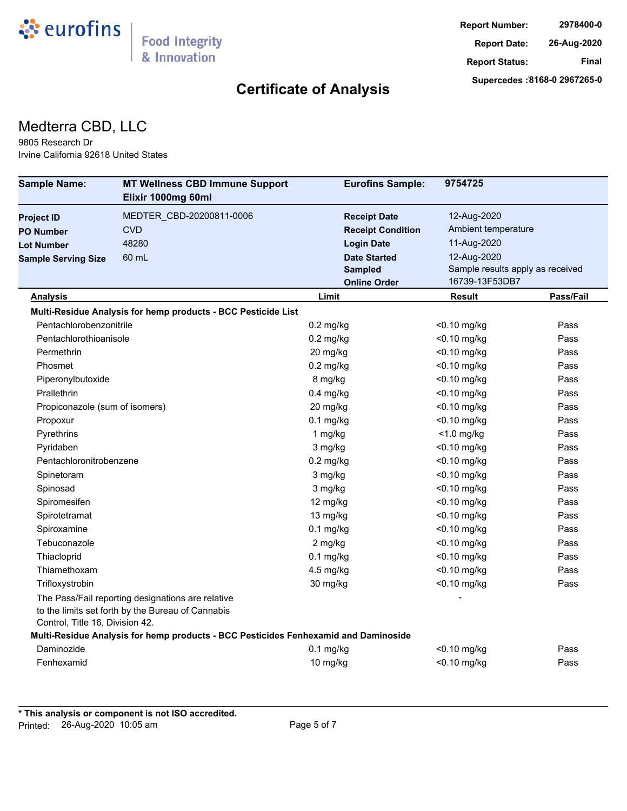

#### Medterra CBD, LLC

9805 Research Dr Irvine California 92618 United States

| <b>Sample Name:</b>             | <b>MT Wellness CBD Immune Support</b><br>Elixir 1000mg 60ml                                            | <b>Eurofins Sample:</b>  | 9754725                          |           |
|---------------------------------|--------------------------------------------------------------------------------------------------------|--------------------------|----------------------------------|-----------|
| <b>Project ID</b>               | MEDTER CBD-20200811-0006                                                                               | <b>Receipt Date</b>      | 12-Aug-2020                      |           |
| <b>PO Number</b>                | <b>CVD</b>                                                                                             | <b>Receipt Condition</b> | Ambient temperature              |           |
| <b>Lot Number</b>               | 48280                                                                                                  | <b>Login Date</b>        | 11-Aug-2020                      |           |
| <b>Sample Serving Size</b>      | 60 mL                                                                                                  | <b>Date Started</b>      | 12-Aug-2020                      |           |
|                                 |                                                                                                        | <b>Sampled</b>           | Sample results apply as received |           |
|                                 |                                                                                                        | <b>Online Order</b>      | 16739-13F53DB7                   |           |
| <b>Analysis</b>                 |                                                                                                        | Limit                    | Result                           | Pass/Fail |
|                                 | Multi-Residue Analysis for hemp products - BCC Pesticide List                                          |                          |                                  |           |
| Pentachlorobenzonitrile         |                                                                                                        | $0.2$ mg/kg              | <0.10 mg/kg                      | Pass      |
| Pentachlorothioanisole          |                                                                                                        | $0.2$ mg/kg              | <0.10 mg/kg                      | Pass      |
| Permethrin                      |                                                                                                        | 20 mg/kg                 | <0.10 mg/kg                      | Pass      |
| Phosmet                         |                                                                                                        | $0.2$ mg/kg              | $<$ 0.10 mg/kg                   | Pass      |
| Piperonylbutoxide               |                                                                                                        | 8 mg/kg                  | $<$ 0.10 mg/kg                   | Pass      |
| Prallethrin                     |                                                                                                        | $0.4$ mg/kg              | $<$ 0.10 mg/kg                   | Pass      |
| Propiconazole (sum of isomers)  |                                                                                                        | 20 mg/kg                 | <0.10 mg/kg                      | Pass      |
| Propoxur                        |                                                                                                        | $0.1$ mg/kg              | <0.10 mg/kg                      | Pass      |
| Pyrethrins                      |                                                                                                        | 1 mg/kg                  | $<$ 1.0 mg/kg                    | Pass      |
| Pyridaben                       |                                                                                                        | 3 mg/kg                  | <0.10 mg/kg                      | Pass      |
| Pentachloronitrobenzene         |                                                                                                        | $0.2$ mg/kg              | $<$ 0.10 mg/kg                   | Pass      |
| Spinetoram                      |                                                                                                        | 3 mg/kg                  | $<$ 0.10 mg/kg                   | Pass      |
| Spinosad                        |                                                                                                        | 3 mg/kg                  | $<$ 0.10 mg/kg                   | Pass      |
| Spiromesifen                    |                                                                                                        | 12 mg/kg                 | $<$ 0.10 mg/kg                   | Pass      |
| Spirotetramat                   |                                                                                                        | 13 mg/kg                 | $<$ 0.10 mg/kg                   | Pass      |
| Spiroxamine                     |                                                                                                        | $0.1$ mg/kg              | $<$ 0.10 mg/kg                   | Pass      |
| Tebuconazole                    |                                                                                                        | 2 mg/kg                  | $<$ 0.10 mg/kg                   | Pass      |
| Thiacloprid                     |                                                                                                        | $0.1$ mg/kg              | <0.10 mg/kg                      | Pass      |
| Thiamethoxam                    |                                                                                                        | 4.5 mg/kg                | <0.10 mg/kg                      | Pass      |
| Trifloxystrobin                 |                                                                                                        | 30 mg/kg                 | <0.10 mg/kg                      | Pass      |
| Control, Title 16, Division 42. | The Pass/Fail reporting designations are relative<br>to the limits set forth by the Bureau of Cannabis |                          |                                  |           |
|                                 | Multi-Residue Analysis for hemp products - BCC Pesticides Fenhexamid and Daminoside                    |                          |                                  |           |
| Daminozide                      |                                                                                                        | $0.1$ mg/kg              | <0.10 mg/kg                      | Pass      |
| Fenhexamid                      |                                                                                                        | 10 mg/kg                 | <0.10 mg/kg                      | Pass      |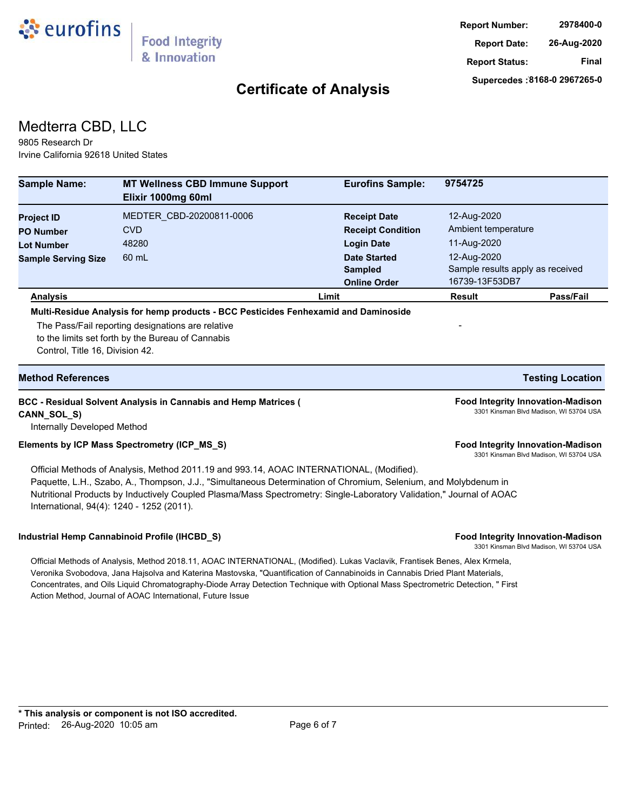

#### Medterra CBD, LLC

9805 Research Dr Irvine California 92618 United States

| <b>Sample Name:</b>                          | <b>MT Wellness CBD Immune Support</b><br>Elixir 1000mg 60ml                                                                                                                                                                                                                                                                                                                                                                                                   | <b>Eurofins Sample:</b>  | 9754725                                                                             |                                         |
|----------------------------------------------|---------------------------------------------------------------------------------------------------------------------------------------------------------------------------------------------------------------------------------------------------------------------------------------------------------------------------------------------------------------------------------------------------------------------------------------------------------------|--------------------------|-------------------------------------------------------------------------------------|-----------------------------------------|
| <b>Project ID</b>                            | MEDTER CBD-20200811-0006                                                                                                                                                                                                                                                                                                                                                                                                                                      | <b>Receipt Date</b>      | 12-Aug-2020                                                                         |                                         |
| <b>PO Number</b>                             | <b>CVD</b>                                                                                                                                                                                                                                                                                                                                                                                                                                                    | <b>Receipt Condition</b> | Ambient temperature                                                                 |                                         |
| <b>Lot Number</b>                            | 48280                                                                                                                                                                                                                                                                                                                                                                                                                                                         | <b>Login Date</b>        | 11-Aug-2020                                                                         |                                         |
| <b>Sample Serving Size</b>                   | 60 mL                                                                                                                                                                                                                                                                                                                                                                                                                                                         | <b>Date Started</b>      | 12-Aug-2020                                                                         |                                         |
|                                              |                                                                                                                                                                                                                                                                                                                                                                                                                                                               | <b>Sampled</b>           | Sample results apply as received                                                    |                                         |
|                                              |                                                                                                                                                                                                                                                                                                                                                                                                                                                               | <b>Online Order</b>      | 16739-13F53DB7                                                                      |                                         |
| <b>Analysis</b>                              | Multi-Residue Analysis for hemp products - BCC Pesticides Fenhexamid and Daminoside                                                                                                                                                                                                                                                                                                                                                                           | Limit                    | <b>Result</b>                                                                       | Pass/Fail                               |
| Control, Title 16, Division 42.              | The Pass/Fail reporting designations are relative<br>to the limits set forth by the Bureau of Cannabis                                                                                                                                                                                                                                                                                                                                                        |                          |                                                                                     |                                         |
| <b>Method References</b>                     |                                                                                                                                                                                                                                                                                                                                                                                                                                                               |                          |                                                                                     | <b>Testing Location</b>                 |
| CANN_SOL_S)<br>Internally Developed Method   | <b>BCC - Residual Solvent Analysis in Cannabis and Hemp Matrices (</b>                                                                                                                                                                                                                                                                                                                                                                                        |                          | <b>Food Integrity Innovation-Madison</b>                                            | 3301 Kinsman Blvd Madison, WI 53704 USA |
| Elements by ICP Mass Spectrometry (ICP_MS_S) |                                                                                                                                                                                                                                                                                                                                                                                                                                                               |                          | <b>Food Integrity Innovation-Madison</b><br>3301 Kinsman Blvd Madison, WI 53704 USA |                                         |
| International, 94(4): 1240 - 1252 (2011).    | Official Methods of Analysis, Method 2011.19 and 993.14, AOAC INTERNATIONAL, (Modified).<br>Paquette, L.H., Szabo, A., Thompson, J.J., "Simultaneous Determination of Chromium, Selenium, and Molybdenum in<br>Nutritional Products by Inductively Coupled Plasma/Mass Spectrometry: Single-Laboratory Validation," Journal of AOAC                                                                                                                           |                          |                                                                                     |                                         |
|                                              | Industrial Hemp Cannabinoid Profile (IHCBD_S)                                                                                                                                                                                                                                                                                                                                                                                                                 |                          | <b>Food Integrity Innovation-Madison</b>                                            | 3301 Kinsman Blvd Madison, WI 53704 USA |
|                                              | Official Methods of Analysis, Method 2018.11, AOAC INTERNATIONAL, (Modified). Lukas Vaclavik, Frantisek Benes, Alex Krmela,<br>Veronika Svobodova, Jana Hajsolva and Katerina Mastovska, "Quantification of Cannabinoids in Cannabis Dried Plant Materials,<br>Concentrates, and Oils Liquid Chromatography-Diode Array Detection Technique with Optional Mass Spectrometric Detection, " First<br>Action Method, Journal of AOAC International, Future Issue |                          |                                                                                     |                                         |